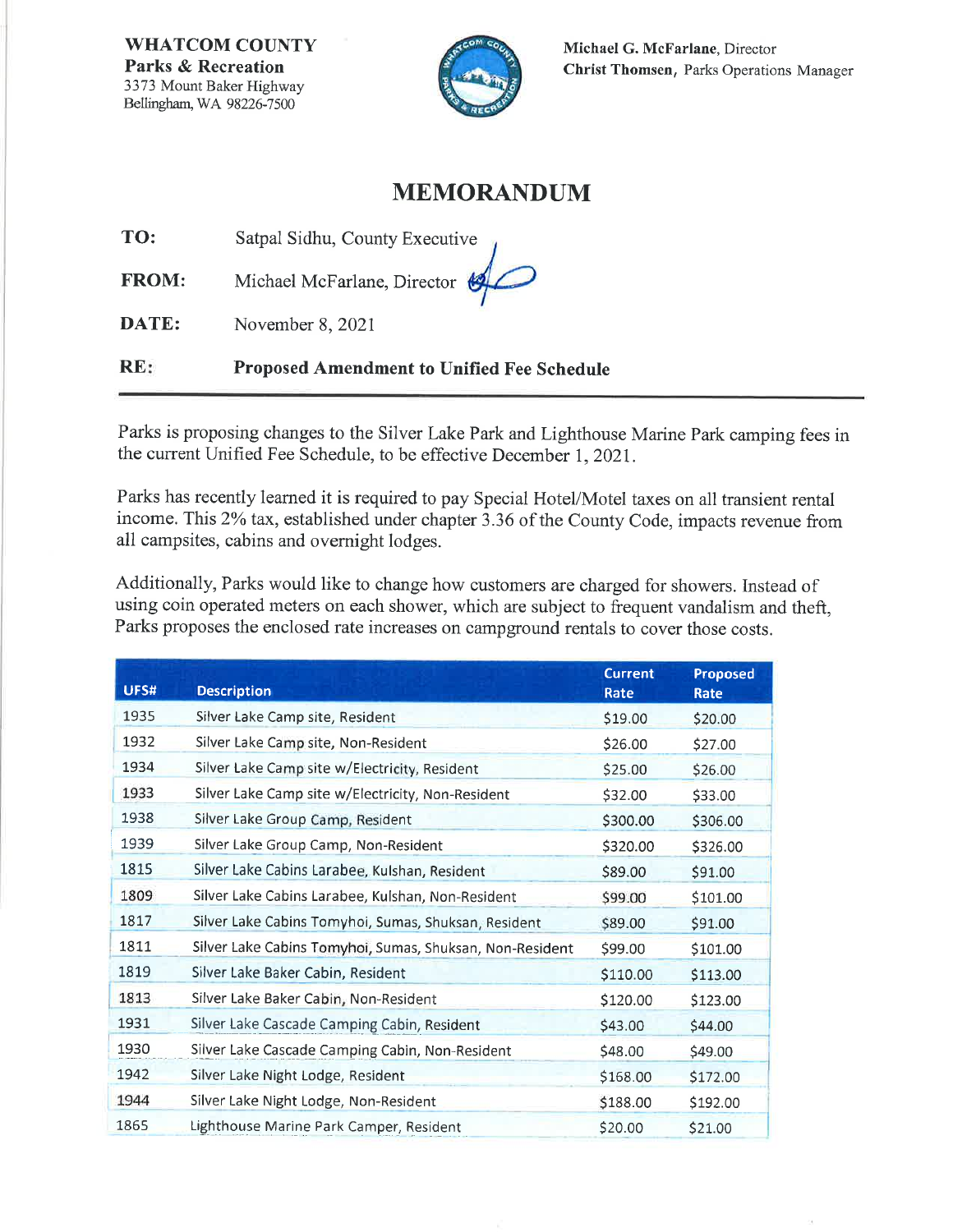**WHATCOM COUNTY Parks & Recreation** 3373 Mount Baker Highway Bellingham, WA 98226-7500



## **MEMORANDUM**

TO: Satpal Sidhu, County Executive

Michael McFarlane, Director **FROM:** 

DATE: November 8, 2021

**Proposed Amendment to Unified Fee Schedule**  $RE:$ 

Parks is proposing changes to the Silver Lake Park and Lighthouse Marine Park camping fees in the current Unified Fee Schedule, to be effective December 1, 2021.

Parks has recently learned it is required to pay Special Hotel/Motel taxes on all transient rental income. This 2% tax, established under chapter 3.36 of the County Code, impacts revenue from all campsites, cabins and overnight lodges.

Additionally, Parks would like to change how customers are charged for showers. Instead of using coin operated meters on each shower, which are subject to frequent vandalism and theft, Parks proposes the enclosed rate increases on campground rentals to cover those costs.

| UFS# | <b>Description</b>                                       | <b>Current</b><br>Rate | Proposed<br>Rate |
|------|----------------------------------------------------------|------------------------|------------------|
| 1935 | Silver Lake Camp site, Resident                          | \$19.00                | \$20.00          |
| 1932 | Silver Lake Camp site, Non-Resident                      | \$26.00                | \$27.00          |
| 1934 | Silver Lake Camp site w/Electricity, Resident            | \$25.00                | \$26.00          |
| 1933 | Silver Lake Camp site w/Electricity, Non-Resident        | \$32.00                | \$33.00          |
| 1938 | Silver Lake Group Camp, Resident                         | \$300.00               | \$306.00         |
| 1939 | Silver Lake Group Camp, Non-Resident                     | \$320.00               | \$326.00         |
| 1815 | Silver Lake Cabins Larabee, Kulshan, Resident            | \$89.00                | \$91.00          |
| 1809 | Silver Lake Cabins Larabee, Kulshan, Non-Resident        | \$99.00                | \$101.00         |
| 1817 | Silver Lake Cabins Tomyhoi, Sumas, Shuksan, Resident     | \$89.00                | \$91.00          |
| 1811 | Silver Lake Cabins Tomyhoi, Sumas, Shuksan, Non-Resident | \$99.00                | \$101.00         |
| 1819 | Silver Lake Baker Cabin, Resident                        | \$110.00               | \$113.00         |
| 1813 | Silver Lake Baker Cabin, Non-Resident                    | \$120.00               | \$123.00         |
| 1931 | Silver Lake Cascade Camping Cabin, Resident              | \$43.00                | \$44.00          |
| 1930 | Silver Lake Cascade Camping Cabin, Non-Resident          | \$48.00                | \$49.00          |
| 1942 | Silver Lake Night Lodge, Resident                        | \$168.00               | \$172.00         |
| 1944 | Silver Lake Night Lodge, Non-Resident                    | \$188.00               | \$192.00         |
| 1865 | Lighthouse Marine Park Camper, Resident                  | \$20.00                | \$21.00          |